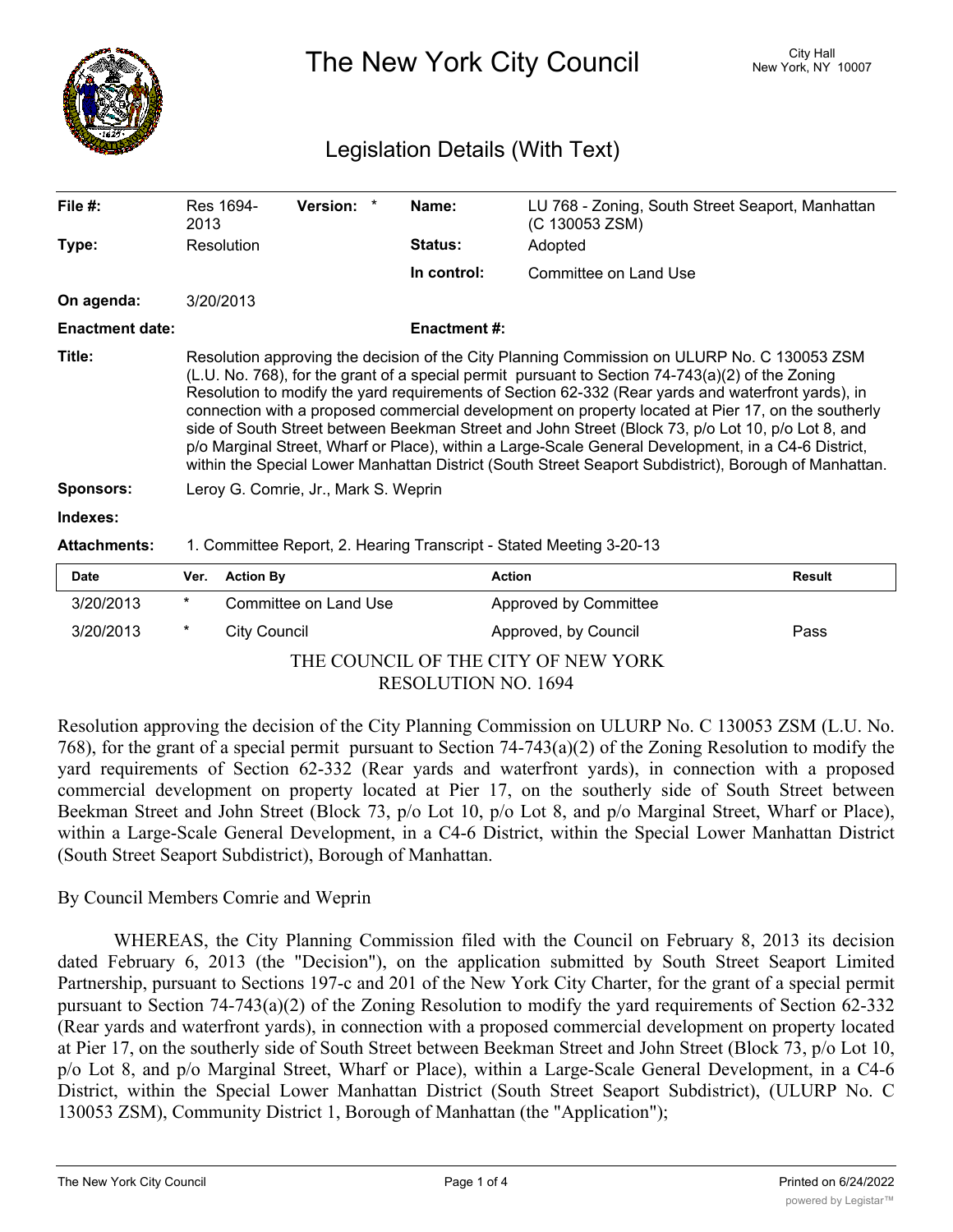

The New York City Council New York, NY 10007

## Legislation Details (With Text)

| File #:                             | 2013                                                                                                                                                                                                                                                                                                                                                                                                                                                                                                                                                                                                                                                                                                                                | Res 1694-                                                           | Version: *            |  | Name:               | LU 768 - Zoning, South Street Seaport, Manhattan<br>(C 130053 ZSM) |               |
|-------------------------------------|-------------------------------------------------------------------------------------------------------------------------------------------------------------------------------------------------------------------------------------------------------------------------------------------------------------------------------------------------------------------------------------------------------------------------------------------------------------------------------------------------------------------------------------------------------------------------------------------------------------------------------------------------------------------------------------------------------------------------------------|---------------------------------------------------------------------|-----------------------|--|---------------------|--------------------------------------------------------------------|---------------|
| Type:                               |                                                                                                                                                                                                                                                                                                                                                                                                                                                                                                                                                                                                                                                                                                                                     | Resolution                                                          |                       |  | Status:             | Adopted                                                            |               |
|                                     |                                                                                                                                                                                                                                                                                                                                                                                                                                                                                                                                                                                                                                                                                                                                     |                                                                     |                       |  | In control:         | Committee on Land Use                                              |               |
| On agenda:                          |                                                                                                                                                                                                                                                                                                                                                                                                                                                                                                                                                                                                                                                                                                                                     | 3/20/2013                                                           |                       |  |                     |                                                                    |               |
| <b>Enactment date:</b>              |                                                                                                                                                                                                                                                                                                                                                                                                                                                                                                                                                                                                                                                                                                                                     |                                                                     |                       |  | <b>Enactment #:</b> |                                                                    |               |
| Title:                              | Resolution approving the decision of the City Planning Commission on ULURP No. C 130053 ZSM<br>$(L.U. No. 768)$ , for the grant of a special permit pursuant to Section 74-743(a)(2) of the Zoning<br>Resolution to modify the yard requirements of Section 62-332 (Rear yards and waterfront yards), in<br>connection with a proposed commercial development on property located at Pier 17, on the southerly<br>side of South Street between Beekman Street and John Street (Block 73, p/o Lot 10, p/o Lot 8, and<br>p/o Marginal Street, Wharf or Place), within a Large-Scale General Development, in a C4-6 District,<br>within the Special Lower Manhattan District (South Street Seaport Subdistrict), Borough of Manhattan. |                                                                     |                       |  |                     |                                                                    |               |
| <b>Sponsors:</b>                    |                                                                                                                                                                                                                                                                                                                                                                                                                                                                                                                                                                                                                                                                                                                                     | Leroy G. Comrie, Jr., Mark S. Weprin                                |                       |  |                     |                                                                    |               |
| Indexes:                            |                                                                                                                                                                                                                                                                                                                                                                                                                                                                                                                                                                                                                                                                                                                                     |                                                                     |                       |  |                     |                                                                    |               |
| <b>Attachments:</b>                 |                                                                                                                                                                                                                                                                                                                                                                                                                                                                                                                                                                                                                                                                                                                                     | 1. Committee Report, 2. Hearing Transcript - Stated Meeting 3-20-13 |                       |  |                     |                                                                    |               |
| <b>Date</b>                         | Ver.                                                                                                                                                                                                                                                                                                                                                                                                                                                                                                                                                                                                                                                                                                                                | <b>Action By</b>                                                    |                       |  | <b>Action</b>       |                                                                    | <b>Result</b> |
| 3/20/2013                           | $\ast$                                                                                                                                                                                                                                                                                                                                                                                                                                                                                                                                                                                                                                                                                                                              |                                                                     | Committee on Land Use |  |                     | Approved by Committee                                              |               |
| 3/20/2013                           | $^\star$                                                                                                                                                                                                                                                                                                                                                                                                                                                                                                                                                                                                                                                                                                                            | <b>City Council</b>                                                 |                       |  |                     | Approved, by Council                                               | Pass          |
| THE COUNCIL OF THE CITY OF NEW YORK |                                                                                                                                                                                                                                                                                                                                                                                                                                                                                                                                                                                                                                                                                                                                     |                                                                     |                       |  |                     |                                                                    |               |

RESOLUTION NO. 1694

Resolution approving the decision of the City Planning Commission on ULURP No. C 130053 ZSM (L.U. No. 768), for the grant of a special permit pursuant to Section 74-743(a)(2) of the Zoning Resolution to modify the yard requirements of Section 62-332 (Rear yards and waterfront yards), in connection with a proposed commercial development on property located at Pier 17, on the southerly side of South Street between Beekman Street and John Street (Block 73, p/o Lot 10, p/o Lot 8, and p/o Marginal Street, Wharf or Place), within a Large-Scale General Development, in a C4-6 District, within the Special Lower Manhattan District (South Street Seaport Subdistrict), Borough of Manhattan.

## By Council Members Comrie and Weprin

WHEREAS, the City Planning Commission filed with the Council on February 8, 2013 its decision dated February 6, 2013 (the "Decision"), on the application submitted by South Street Seaport Limited Partnership, pursuant to Sections 197-c and 201 of the New York City Charter, for the grant of a special permit pursuant to Section 74-743(a)(2) of the Zoning Resolution to modify the yard requirements of Section 62-332 (Rear yards and waterfront yards), in connection with a proposed commercial development on property located at Pier 17, on the southerly side of South Street between Beekman Street and John Street (Block 73, p/o Lot 10, p/o Lot 8, and p/o Marginal Street, Wharf or Place), within a Large-Scale General Development, in a C4-6 District, within the Special Lower Manhattan District (South Street Seaport Subdistrict), (ULURP No. C 130053 ZSM), Community District 1, Borough of Manhattan (the "Application");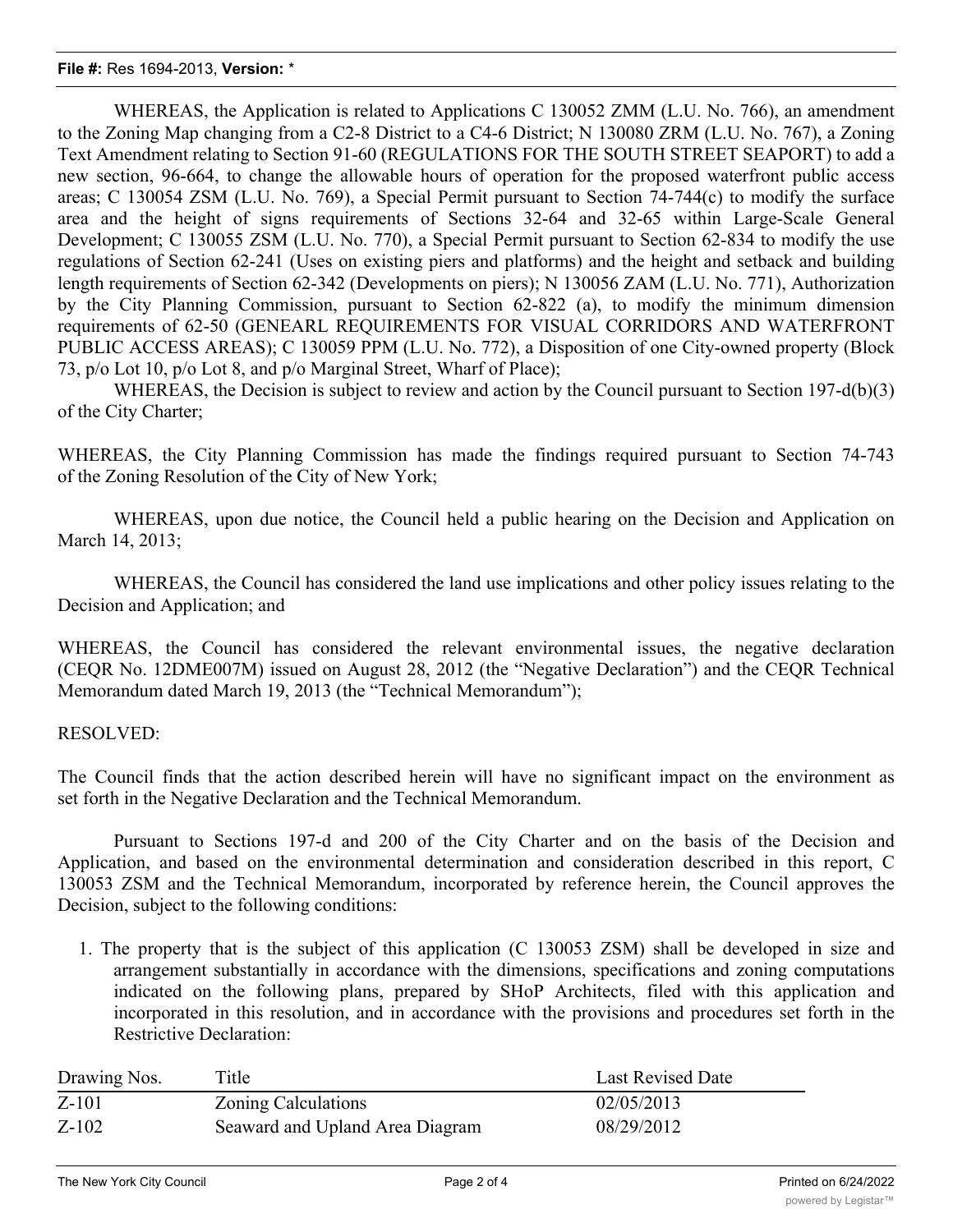## **File #:** Res 1694-2013, **Version:** \*

WHEREAS, the Application is related to Applications C 130052 ZMM (L.U. No. 766), an amendment to the Zoning Map changing from a C2-8 District to a C4-6 District; N 130080 ZRM (L.U. No. 767), a Zoning Text Amendment relating to Section 91-60 (REGULATIONS FOR THE SOUTH STREET SEAPORT) to add a new section, 96-664, to change the allowable hours of operation for the proposed waterfront public access areas; C 130054 ZSM (L.U. No. 769), a Special Permit pursuant to Section 74-744(c) to modify the surface area and the height of signs requirements of Sections 32-64 and 32-65 within Large-Scale General Development; C 130055 ZSM (L.U. No. 770), a Special Permit pursuant to Section 62-834 to modify the use regulations of Section 62-241 (Uses on existing piers and platforms) and the height and setback and building length requirements of Section 62-342 (Developments on piers); N 130056 ZAM (L.U. No. 771), Authorization by the City Planning Commission, pursuant to Section 62-822 (a), to modify the minimum dimension requirements of 62-50 (GENEARL REQUIREMENTS FOR VISUAL CORRIDORS AND WATERFRONT PUBLIC ACCESS AREAS); C 130059 PPM (L.U. No. 772), a Disposition of one City-owned property (Block 73, p/o Lot 10, p/o Lot 8, and p/o Marginal Street, Wharf of Place);

WHEREAS, the Decision is subject to review and action by the Council pursuant to Section 197-d(b)(3) of the City Charter;

WHEREAS, the City Planning Commission has made the findings required pursuant to Section 74-743 of the Zoning Resolution of the City of New York;

WHEREAS, upon due notice, the Council held a public hearing on the Decision and Application on March 14, 2013;

WHEREAS, the Council has considered the land use implications and other policy issues relating to the Decision and Application; and

WHEREAS, the Council has considered the relevant environmental issues, the negative declaration (CEQR No. 12DME007M) issued on August 28, 2012 (the "Negative Declaration") and the CEQR Technical Memorandum dated March 19, 2013 (the "Technical Memorandum");

## RESOLVED:

The Council finds that the action described herein will have no significant impact on the environment as set forth in the Negative Declaration and the Technical Memorandum.

Pursuant to Sections 197-d and 200 of the City Charter and on the basis of the Decision and Application, and based on the environmental determination and consideration described in this report, C 130053 ZSM and the Technical Memorandum, incorporated by reference herein, the Council approves the Decision, subject to the following conditions:

1. The property that is the subject of this application (C 130053 ZSM) shall be developed in size and arrangement substantially in accordance with the dimensions, specifications and zoning computations indicated on the following plans, prepared by SHoP Architects, filed with this application and incorporated in this resolution, and in accordance with the provisions and procedures set forth in the Restrictive Declaration:

| Drawing Nos. | Title                           | <b>Last Revised Date</b> |
|--------------|---------------------------------|--------------------------|
| $Z-101$      | <b>Zoning Calculations</b>      | 02/05/2013               |
| $Z-102$      | Seaward and Upland Area Diagram | 08/29/2012               |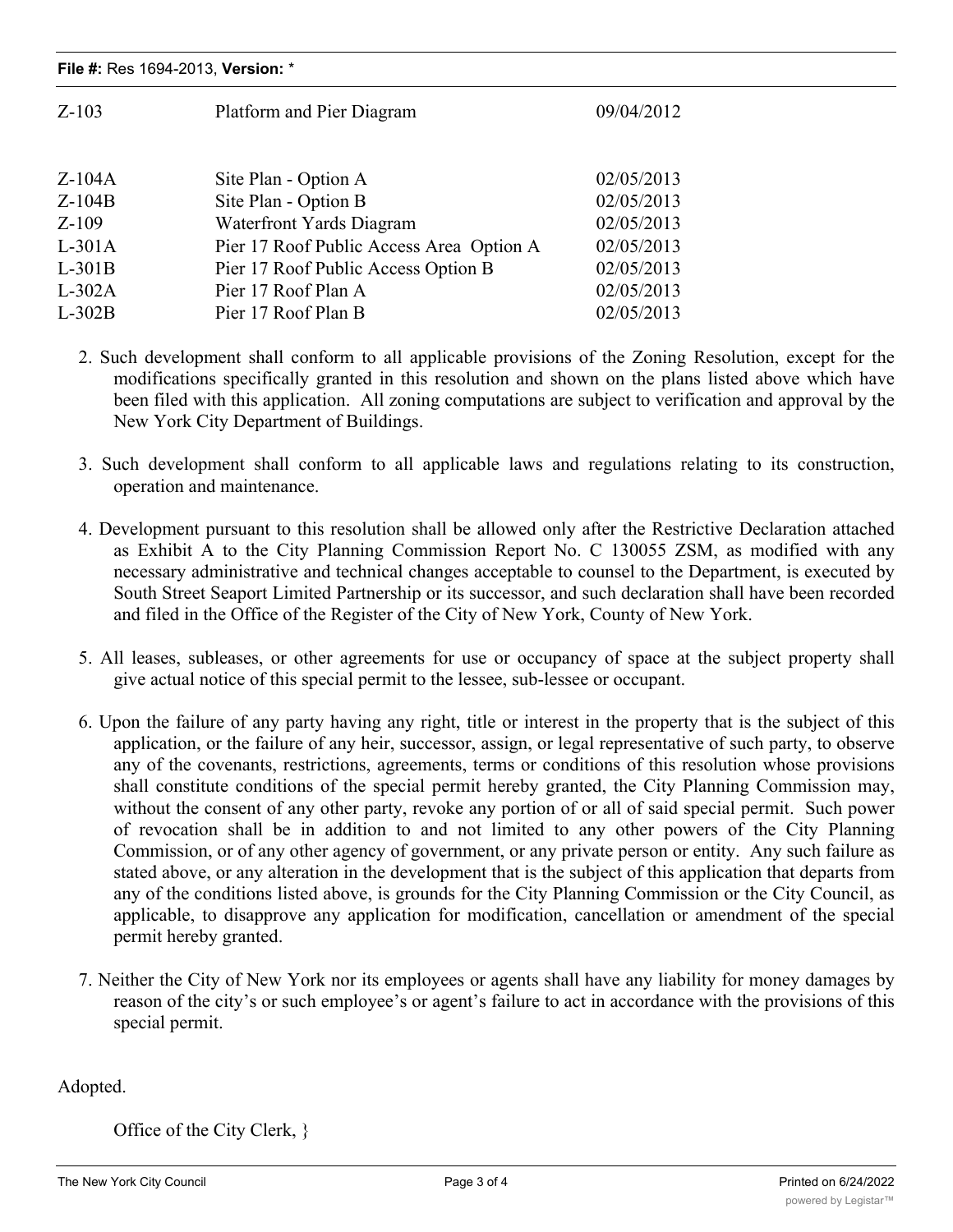| $Z-103$  | Platform and Pier Diagram                | 09/04/2012 |  |
|----------|------------------------------------------|------------|--|
| $Z-104A$ | Site Plan - Option A                     | 02/05/2013 |  |
| $Z-104B$ | Site Plan - Option B                     | 02/05/2013 |  |
| $Z-109$  | <b>Waterfront Yards Diagram</b>          | 02/05/2013 |  |
| $L-301A$ | Pier 17 Roof Public Access Area Option A | 02/05/2013 |  |
| $L-301B$ | Pier 17 Roof Public Access Option B      | 02/05/2013 |  |
| $L-302A$ | Pier 17 Roof Plan A                      | 02/05/2013 |  |
| $L-302B$ | Pier 17 Roof Plan B                      | 02/05/2013 |  |
|          |                                          |            |  |

- 2. Such development shall conform to all applicable provisions of the Zoning Resolution, except for the modifications specifically granted in this resolution and shown on the plans listed above which have been filed with this application. All zoning computations are subject to verification and approval by the New York City Department of Buildings.
- 3. Such development shall conform to all applicable laws and regulations relating to its construction, operation and maintenance.
- 4. Development pursuant to this resolution shall be allowed only after the Restrictive Declaration attached as Exhibit A to the City Planning Commission Report No. C 130055 ZSM, as modified with any necessary administrative and technical changes acceptable to counsel to the Department, is executed by South Street Seaport Limited Partnership or its successor, and such declaration shall have been recorded and filed in the Office of the Register of the City of New York, County of New York.
- 5. All leases, subleases, or other agreements for use or occupancy of space at the subject property shall give actual notice of this special permit to the lessee, sub-lessee or occupant.
- 6. Upon the failure of any party having any right, title or interest in the property that is the subject of this application, or the failure of any heir, successor, assign, or legal representative of such party, to observe any of the covenants, restrictions, agreements, terms or conditions of this resolution whose provisions shall constitute conditions of the special permit hereby granted, the City Planning Commission may, without the consent of any other party, revoke any portion of or all of said special permit. Such power of revocation shall be in addition to and not limited to any other powers of the City Planning Commission, or of any other agency of government, or any private person or entity. Any such failure as stated above, or any alteration in the development that is the subject of this application that departs from any of the conditions listed above, is grounds for the City Planning Commission or the City Council, as applicable, to disapprove any application for modification, cancellation or amendment of the special permit hereby granted.
- 7. Neither the City of New York nor its employees or agents shall have any liability for money damages by reason of the city's or such employee's or agent's failure to act in accordance with the provisions of this special permit.

Adopted.

Office of the City Clerk, }